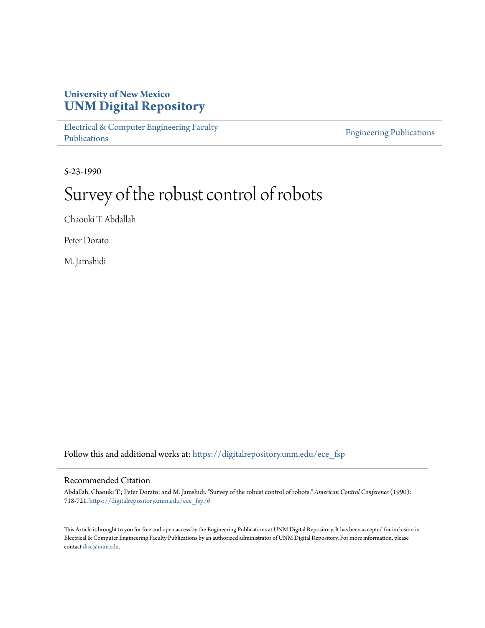## **University of New Mexico [UNM Digital Repository](https://digitalrepository.unm.edu?utm_source=digitalrepository.unm.edu%2Fece_fsp%2F6&utm_medium=PDF&utm_campaign=PDFCoverPages)**

[Electrical & Computer Engineering Faculty](https://digitalrepository.unm.edu/ece_fsp?utm_source=digitalrepository.unm.edu%2Fece_fsp%2F6&utm_medium=PDF&utm_campaign=PDFCoverPages) [Publications](https://digitalrepository.unm.edu/ece_fsp?utm_source=digitalrepository.unm.edu%2Fece_fsp%2F6&utm_medium=PDF&utm_campaign=PDFCoverPages)

[Engineering Publications](https://digitalrepository.unm.edu/eng_fsp?utm_source=digitalrepository.unm.edu%2Fece_fsp%2F6&utm_medium=PDF&utm_campaign=PDFCoverPages)

5-23-1990

# Survey of the robust control of robots

Chaouki T. Abdallah

Peter Dorato

M. Jamshidi

Follow this and additional works at: [https://digitalrepository.unm.edu/ece\\_fsp](https://digitalrepository.unm.edu/ece_fsp?utm_source=digitalrepository.unm.edu%2Fece_fsp%2F6&utm_medium=PDF&utm_campaign=PDFCoverPages)

### Recommended Citation

Abdallah, Chaouki T.; Peter Dorato; and M. Jamshidi. "Survey of the robust control of robots." *American Control Conference* (1990): 718-721. [https://digitalrepository.unm.edu/ece\\_fsp/6](https://digitalrepository.unm.edu/ece_fsp/6?utm_source=digitalrepository.unm.edu%2Fece_fsp%2F6&utm_medium=PDF&utm_campaign=PDFCoverPages)

This Article is brought to you for free and open access by the Engineering Publications at UNM Digital Repository. It has been accepted for inclusion in Electrical & Computer Engineering Faculty Publications by an authorized administrator of UNM Digital Repository. For more information, please contact [disc@unm.edu.](mailto:disc@unm.edu)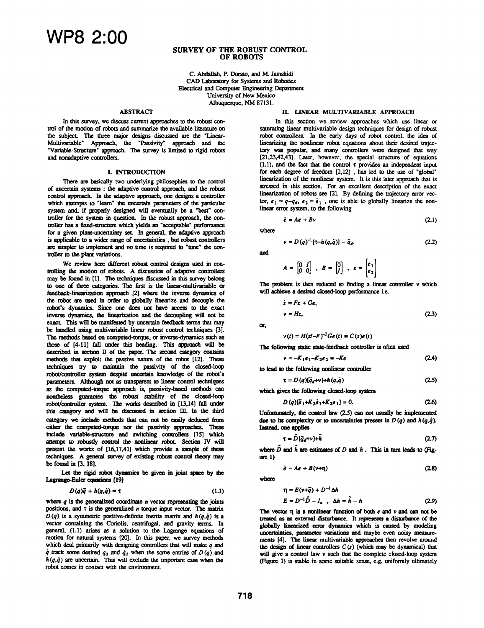#### SURVEY OF THE ROBUST CONTROL OF ROBOTS

C. Abdallah, P. Dorato, and M. Jamshidi CAD Laboratory for Systems and Robotics Electrical and Computer Engineering Department University of New Mexico Albuquerque, NM 87131.

#### **ABSTRACT**

In this survey, we discuss current approaches to the robust control of the motion of robots and summarize the available literature on the subject. The three major designs discussed are the "Linear-Multivariable" Approach, the "Passivity" approach and the "Variable-Structure" approach. The survey is limited to rigid robots and nonadaptive controllers.

#### **I. INTRODUCTION**

There are basically two underlying philosophies to the control of uncertain systems: the adaptve control approach, and herobust control appoach. In the adaptive approach, one designs a controler which attempts to "learn" the uncertain parameters of the particular system and, if properly designed will eventually be a "best" controller for the system m question. In the robust approach, the controller has a fixed-structure which yields an "acceptable" performance for a given plant-uncertainty set. In general, the adaptive approach is applicable to a wider range of uncertainties, but robust controllers are simpler to implement and no time is required to "tune" the controller to the plant variations.

We review here different robust control designs used in controlling the motion of robots. A discussion of adaptive controllers may be found in [1]. The techniques discussed in this survey belong to one of three categories. The first is the linear-multivariable or feedback-linearization approach [2] where the inverse dynamics of the robot are ued in order to gloly inearize and decouple the robot's dynamics. Since one does not have access to the exact inverse dynamics, the linearization and the decoupling will not be exact. This will be manifested by uncertain feedback terms that may be handled using multivariable linear robust control techniques [3]. The methods based on computed-torque, or inverse-dynamics such as those of [4-11] fall under this heading. This approach will be described in section II of the paper. The second category contains methods that exploit the passive nature of the robot [12]. These techniques try to maintain the passivity of the closed-loop robot/controller system despite uncertain knowledge of the robot's parameters. Although not as transparent to linear control techniques as the computed-torque approach is, passivity-based methods can nontheless guarantee the robust stability of the closed-loop robot/controller system. The works described in [13,14] fall under this category and will be discussed in section III. In the third category we include methods that can not be easily deduced from either the computed-torque nor the passivity approaches. These include variable-structure and switching controllers [15] which attempt to robustly control the nonlinear robot. Section IV will present the works of [16,17,41] which provide a sample of these techniques. A general survey of existing robust control theory may be found in [3, 18].

Let the rigid robot dynamics be given in joint space by the Lagrange-Euler equations [19]

$$
D(q)\ddot{q} + h(q,\dot{q}) = \tau \tag{1.1}
$$

where  $q$  is the generalized coordinate  $n$  vector representing the joints positions, and  $\tau$  is the generalized  $n$  torque input vector. The matrix  $D(q)$  is a symmetric positive-definite inertia matrix and  $h(q,q)$  is a vector containing the Coriolis, centrifugal, and gravity terms. In general, (1.1) arises as a solution to the Lagrange equations of motion for natural systems [20]. In this paper, we survey methods which deal primarily with designing controllers that will make  $q$  and  $\dot{q}$  track some desired  $q_d$  and  $\dot{q}_d$  when the some entries of  $D(q)$  and  $h(q, \dot{q})$  are uncertain. This will exclude the important case when the robot comes in contact with the environment.

#### I. LINEAR MULTIVARLABLE APPROACH

In this section we review approaches which use linear or saturating linear multivariable design techniques for design of robust robot controllers. In the early days of robot control, the idea of linearizing the nonlinear robot equations about their desired trajectory was popular, and many controllers were designed that way [21,23,42,43]. Later, however, the special structure of equations (1.1), and the fact that the control  $\tau$  provides an independent input for each degree of freedom  $[2,12]$ , has led to the use of "global" linearization of the nonlinear system. It is this later approach that is stessed in this section. For an excellent description of the exact linearization of robots see [2]. By defining the trajectory error vector,  $e_1 = q - q_d$ ,  $e_2 = \dot{e}_1$ , one is able to globally linearize the nonlinear error system, to the following

 $\dot{\mathbf{e}} = A\mathbf{e} + B\mathbf{v}$  (2.1)

where

$$
v = D(q)^{-1} [\tau - h(q, \dot{q})] - \ddot{q}_d. \qquad (2.2)
$$

and

$$
A = \begin{bmatrix} 0 & I \\ 0 & 0 \end{bmatrix} \; , \; B = \begin{bmatrix} 0 \\ I \end{bmatrix} \; , \; e = \begin{bmatrix} e_1 \\ e_2 \end{bmatrix}
$$

The problem is then reduced to finding a linear controller  $\nu$  which will achieve a desired closed-loop performance i.e.

$$
\dot{z} = Fz + Ge,
$$
  
\n
$$
v = Hz,
$$
 (2.3)

or,

$$
\nu(t) = H(\mathbf{s}I - F)^{-1} \mathbf{G} \mathbf{e}(t) \equiv C(s) \mathbf{e}(t)
$$

The following static state-feedback controller is often used

$$
v = -K_1e_1 - K_2e_2 = -Ke
$$
 (2.4)

to lead to the following nonlinear controller

$$
\tau = D(q)[\ddot{q}_d + v] + h(q, \dot{q})
$$
\n(2.5)

which gives the following closed-loop system  

$$
D(q)[\vec{e}_1 + K_2 \vec{e}_1 + K_2 e_1] = 0.
$$
 (2.6)

Unfortunately, the control law (2.5) can not usually be implemented due to its complexity or to uncertainties present in  $D(q)$  and  $h(q, \dot{q})$ . Instead, one applies

$$
\tau = \hat{D}[\ddot{q}_d + v] + \hat{h} \tag{2.7}
$$

where  $\hat{D}$  and  $\hat{h}$  are estimates of D and  $h$ . This in turn leads to (Fig $ure 1)$ 

$$
\dot{e} = Ae + B(\nu + \eta) \tag{2.8}
$$

where

$$
\eta = E(\nu + \tilde{q}) + D^{-1} \Delta h
$$
  
\n
$$
E = D^{-1} \hat{D} - I_n \quad \Delta h = \hat{h} - h
$$
 (2.9)

The vector  $\pi$  is a nonlinear function of both  $e$  and  $\nu$  and can not be treated as an external disturbance. It represents a disturbance of the globally linearized error dynamics which is caused by modeling uncertainties, parameter variations and maybe even noisy measurements [4]. The linear multivariable approaches then revolve around the design of linear controllers  $C(s)$  (which may be dynamical) that will give a control law v such that the complete closed-loop system (Figure 1) is stable in some suitable sense, e.g. uniformly ulimately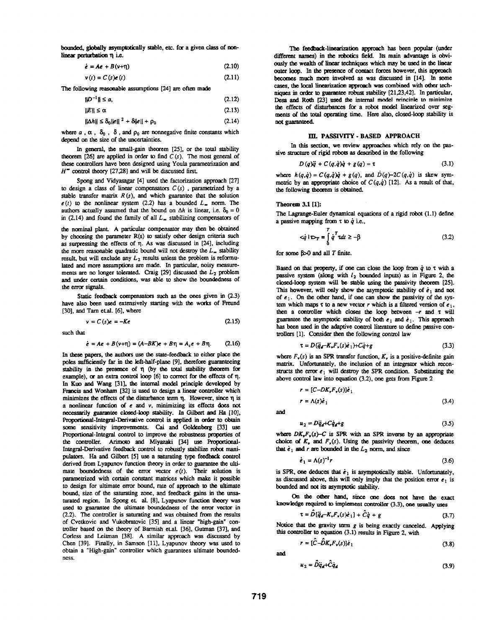bounded, globally asymptotically stable, etc. for a given class of nonlinear perturbation  $\eta$  i.e.

> $\dot{\epsilon} = Ae + B(v+n)$ (2.10)

$$
v(t) = C(s)e(t)
$$
 (2.11)

The following reasonable assumptions [24] are often made

$$
\|D^{-1}\| \le a,\tag{2.12}
$$
\n
$$
\|E\| \le \alpha\tag{2.13}
$$

 $||\Delta h|| \leq \delta_0 ||e||^2 + \delta ||e|| + \rho_0$ (2.14)

where  $a$ ,  $\alpha$ ,  $\delta_0$ ,  $\delta$ , and  $\rho_0$  are nonnegative finite constants which depend on the size of the uncertainties.

In general, the small-gain theorem [25], or the total stability theorem [26] are applied in order to find  $C(s)$ . The most general of these controllers have been designed using Youla parametrizaton and  $H^{\bullet}$  control theory [27,28] and will be discussed first.

Spong and Vidyasagar [4] used the factorization approach [27] to design a class of linear compensators  $C(s)$ , parametrized by a stable transfer matrix  $R(s)$ , and which guarantee that the solution  $e(t)$  to the nonlinear system (2.2) has a bounded  $L_{\infty}$  norm. The authors actually assumed that the bound on  $\Delta h$  is linear, i.e.  $\delta_0 = 0$ in (2.14) and found the family of all  $L_{\infty}$  stabilizing compensators of

the nominal plant. A particular compensator may then be obtained by choosing the parameter R(s) to satisfy other design criteria such as surpressing the effects of  $\eta$ . As was discussed in [24], including the more reasonable quadratic bound will not destroy the  $L_{\infty}$  stability result, but will exclude any  $L_2$  results unless the problem is reformulated and more assumptions are made. In particular, noisy measurements are no longer tolerated. Craig  $[29]$  discussed the  $L_2$  problem and under certain conditions, was able to show the boundedness of the error signals.

Static feedback compensators such as the ones given in  $(2.3)$ have also been used extensively starting with the works of Freund [30], and Tam eLal. [6], where

$$
v = C (s)e = -Ke \tag{2.15}
$$

such that

$$
\dot{\epsilon} = Ae + B(\nu + \eta) = (A - BK)\epsilon + B\eta = A_c\epsilon + B\eta. \tag{2.16}
$$

In these papers, the authors use the state-feedback to either place the poles sufficiently far in the left-half-plane [9], therefore guaranteeing stability in the presence of  $\eta$  (by the total stability theorem for example), or an extra control loop  $[6]$  to correct for the effects of  $\eta$ . In Kuo and Wang [31], the internal model principle developed by Francis and Wonham [32] is used to design a linear controller which minimizes the effects of the disturbance term  $\eta$ . However, since  $\eta$  is a nonlinear function of  $e$  and  $v$ , minimizing its effects does not necessarily guarantee closed-loop stability. In Gilbert and Ha [10], Proportional-Integral-Derivative control is applied in order to obtain some sensitivity improvements. Cai and Goldenberg [33] use Proportional-Integral control to improve the robustness properties of the controller. Arimoto and Miyazaki [34] use Proportional-Integral-Derivative feedback control to robustly stabilize robot manipulators. Ha and Gilbert [5] use a saturating type feedback control derived from Lyapunov function theory in order to guarantee the ultimate boundedness of the error vector  $e(t)$ . Their solution is parametrized with certain constant matrices which make it possible to design for ultimate error bound, rate of approach to the ultimate bound, size of the saurating zone, and feedback gains in the unsaturated region. In Spong et. al. [8], Lyapunov function theory was used to guarantee the ultimate boundedness of the error vector in (2.2). The controller is saturating and was obtained fom the results of Cvetkovic and Vukobratovic [351 and a linear "high-gain" controller based on the theory of Barmish etal. [36], Gutman [37], and Corless and Leitman [38]. A similar approach was discussed by Chen [39]. Finally, in Samson [11], Lyapunov theory was used to obtain <sup>a</sup> 'High-gain" controller which guarantees ultimate boundedness.

The feedback-linearization approach has been popular (under different names) in the robotics field. Its main advantage is obviously the wealth of linear techniques which may be used in the linear outer loop. In the presence of contact forces however, this approach becmes much more involved as was discussed in [14]. In some cases, the local linearization approach was combined with other techniques in order to guarantee robust stability [21,23,42]. In particular, Desa and Roth [23] used the internal model nrincinle to minimize the effects of disturbances for a robot model linearized over segments of the total operating time. Here also, closed-loop stability is not guaranteed.

#### III. PASSIVITY - BASED APPROACH

In this section, we review approaches which rely on the passive structure of rigid robots as described in the following

$$
D(q)\ddot{q} + C(q,\dot{q})\dot{q} + g(q) = \tau \tag{3.1}
$$

where  $h(q, \dot{q}) = C(q, \dot{q})\dot{q} + g(q)$ , and  $D(q) - 2C(q, \dot{q})$  is skew symmetric by an appropriate choice of  $C(q, \dot{q})$  [12]. As a result of that, the following theorem is obtained.

#### Theorem 3.1 [1]:

The Lagrange-Euler dynamical equations of a rigid robot  $(1.1)$  define a passive mapping from  $\tau$  to  $\dot{q}$  i.e.,

$$
\langle \dot{q} | \tau \rangle_T = \int_0^t \dot{q}^T r dt \ge -\beta \tag{3.2}
$$

for some  $\beta > 0$  and all T finite.

Based on that property, if one can close the loop from  $\dot{q}$  to  $\tau$  with a passive system (along with  $l_2$  bounded inputs) as in Figure 2, the closed-loop system will be stable using the passivity theorem [25]. This however, will only show the asymptotic stability of  $\dot{e}_1$  and not of  $e_1$ . On the other hand, if one can show the passivity of the system which maps  $\tau$  to a new vector r which is a filtered version of  $e_1$ , then a controller which closes the loop between  $-r$  and  $\tau$  will guarantee the asymptotic stability of both  $\epsilon_1$  and  $\dot{\epsilon}_1$ . This approach has been used in the adaptive control literature to define passive controllers [1]. Consider then the following control law

$$
\tau = D(\ddot{q}_d - K_v F_v(s)\dot{e}_1) + C\dot{q} + g \tag{3.3}
$$

where  $F_v(s)$  is an SPR transfer function,  $K_v$  is a positive-definite gain matrix. Unfortunately, the inclusion of an integrator which reconstructs the error  $e_1$  will destroy the SPR condition. Substituting the above control law into equation (3.2), one gets from Figure 2

$$
r = [C - DKrFv(s)]\dot{e}1
$$
  

$$
r = \Lambda(s)\dot{e}1
$$
 (3.4)

and

$$
u_2 = D\ddot{q}_d + C\dot{q}_d + g \tag{3.5}
$$

where  $DK_rF_r(s)-C$  is SPR with an SPR inverse by an appropriate choice of  $K$ , and  $F<sub>v</sub>(s)$ . Using the passivity theorem, one deduces that  $\dot{e}_1$  and r are bounded in the  $L_2$  norm, and since

$$
\dot{\boldsymbol{e}}_1 = \Lambda(s)^{-1} \boldsymbol{r} \tag{3.6}
$$

is SPR, one deduces that  $\dot{e}_1$  is asymptotically stable. Unfortunately, as discussed above, this will only imply that the position error  $e_1$  is bouded and not its asymptoic stability.

On the other hand, since one does not have the exact knowledge required to implement controller (3.3), one usually uses

$$
\tau = D[\ddot{q}_d - K_v F_v(s)\dot{e}_1] + \ddot{C}\dot{q} + g \tag{3.7}
$$

Notice that the gravity term  $g$  is being exactly canceled. Applying this controller to equation  $(3.1)$  results in Figure 2, with

$$
r = [\tilde{C} - \tilde{D}K_v F_v(s)]\dot{e}_1 \tag{3.8}
$$

and

$$
u_2 = \hat{D}\ddot{q}_d + \hat{C}\dot{q}_d \tag{3.9}
$$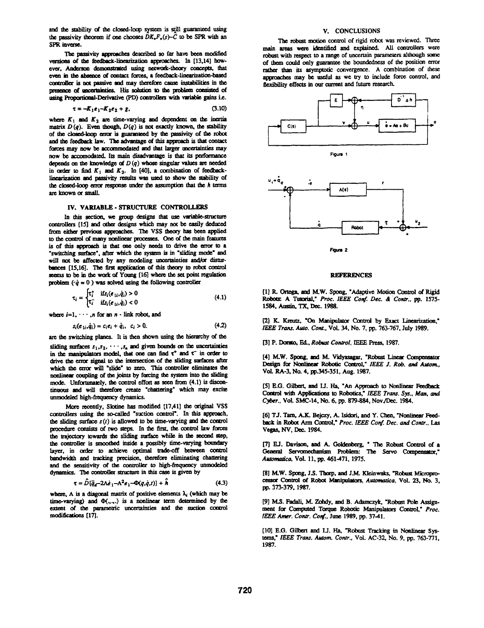and the stability of the closed-loop system is still guaranteed using the passivity theorem if one chooses  $\tilde{D}K_{\nu}F_{\nu}(s)-\tilde{C}$  to be SPR with an SPR inverse.

The passivity approaches described so far have been modified versions of the feedback-linearization approaches. In [13,14] however, Anderson demonstrated using network-theory concepts, that even in the absence of contact forces, a feedback-linearization-based controller is not passive and may therefore canse instabilities in the presence of uncertainties. His solution to the problem consisted of using Proportional-Derivative (PD) controllers with variable gains i.e.

$$
\tau = -K_1 e_1 - K_2 e_2 + g,\tag{3.10}
$$

where  $K_1$  and  $K_2$  are time-varying and dependent on the inertia matrix  $D(q)$ . Even though,  $D(q)$  is not exactly known, the stability of the closed-loop error is guaranteed by the passivity of the robot and the feedback law. The advantage of this approach is that contact forces may now be accommodated and that larger uncertainties may now be accomodated. Its main disadvantage is that its performance depends on the knowledge of  $D(q)$  whose singular values are needed in order to find  $K_1$  and  $K_2$ . In [40], a combination of feedbacklinearization and passivity results was used to show the stability of the closed-loop error response under the assumption that the  $h$  terms are known or small.

#### IV. VARIABLE - STRUCTURE CONTROLLERS

In this section, we group designs that use variable-structure controllers [15] and other designs which may not be easily deduced from either previous approaches. The VSS theory has been applied to the control of many nonlinear processes. One of the main features is of this approach is that one only needs to drive the error to a "switching surface", after which the system is in "sliding mode" and will not be affected by any modeling uncertainties and/or disturbances [15,16]. The first application of this theory to robot control seems to be in the work of Young [16] where the set point regulation problem ( $\dot{q} = 0$ ) was solved using the following controller

$$
\tau_i = \begin{cases} \tau_i^+ & \text{if } s_i(e_{1i}, \dot{q}_i) > 0 \\ \tau_i^- & \text{if } s_i(e_{1i}, \dot{q}_i) < 0 \end{cases} \tag{4.1}
$$

where  $i=1, \dots, n$  for an  $n$  - link robot, and

$$
s_i(e_{1i}, \dot{q}_i) = c_i e_i + \dot{q}_i, \quad c_i > 0.
$$
 (4.2)

are the switching planes. It is then shown using the hierarchy of the sliding surfaces  $s_1, s_2, \cdots, s_n$  and given bounds on the uncertainties in the manipulators model, that one can find  $\tau^+$  and  $\tau^-$  in order to drive the error signal to the intersection of the sliding surfaces after which the error will "slide" to zero. This controller eliminates the nonlinear coupling of the joints by forcing the system into the sliding mode. Unfortunately, the control effort as seen from (4.1) is discontinuous and will therefore create "chattering" which may excite unmodeled high-frequency dynamics.

More recently, Slotine has modified [17,41] the original VSS controllers using the so-called "suction control". In this approach. the sliding surface  $s(t)$  is allowed to be time-varying and the control procedure consists of two steps. In the first, the control law forces the trajectory towards the sliding surface while in the second step, the controller is smoothed inside a possibly time-varying boundary layer, in order to achieve optimal trade-off between control bandwidth and tracking precision, therefore eliminating chattering and the sensitivity of the controller to high-frequency unmodeled dynamics. The controller structure in this case is given by

$$
\tau = \tilde{D}[\ddot{q}_f - 2\Lambda \dot{e}_1 - \Lambda^2 e_1 - \Phi(q, \dot{q}, t)] + \ddot{h}
$$
 (4.3)

where,  $\Lambda$  is a diagonal matrix of positive elements  $\lambda_i$  (which may be time-varying) and  $\Phi(.,.,.)$  is a nonlinear term determined by the extent of the parametric uncertainties and the suction control modifications [17].

#### V. CONCLUSIONS

The robust motion control of rigid robot was reviewed. Three main areas were identified and explained. All controllers were robust with respect to a range of uncertain parameters although some of them could only guarantee the boundedness of the position error rather than its asymptotic convergence. A combination of these approaches may be useful as we try to include force control, and flexibility effects in our current and future research.



#### **REFERENCES**

[1] R. Ortega, and M.W. Spong, "Adaptive Motion Control of Rigid Robots: A Tutorial," Proc. IEEE Conf. Dec. & Contr., pp. 1575-1584, Austin, TX, Dec. 1988.

[2] K. Kreutz, "On Manipulator Control by Exact Linearization," IEEE Trans. Auto. Cont., Vol. 34, No. 7, pp. 763-767, July 1989.

[3] P. Dorato, Ed., Robust Control, IEEE Press, 1987.

[4] M.W. Spong, and M. Vidyasagar, "Robust Linear Compensator Design for Nonlinear Robotic Control," IEEE J. Rob. and Autom., Vol. RA-3, No. 4, pp.345-351, Aug. 1987.

[5] E.G. Gilbert, and I.J. Ha, "An Approach to Nonlinear Feedback Control with Applications to Robotics," IEEE Trans. Sys., Man, and Cyber., Vol. SMC-14, No. 6, pp. 879-884, Nov./Dec. 1984.

[6] T.J. Tam, A.K. Beiczy, A. Isidori, and Y. Chen. "Nonlinear Feedback in Robot Arm Control," Proc. IEEE Conf. Dec. and Contr., Las Vegas, NV, Dec. 1984.

[7] E.J. Davison, and A. Goldenberg, " The Robust Control of a General Servomechanism Problem: The Servo Compensator," Automatica, Vol. 11, pp. 461-471, 1975.

[8] M.W. Spong, J.S. Thorp, and J.M. Kleinwaks, "Robust Microprocessor Control of Robot Manipulators, Automatica, Vol. 23, No. 3, pp. 373-379, 1987.

[9] M.S. Fadali, M. Zohdy, and B. Adamczyk, "Robust Pole Assignment for Computed Torque Robotic Manipulators Control," Proc. IEEE Amer. Contr. Conf., June 1989, pp. 37-41.

[10] E.G. Gilbert and I.J. Ha, "Robust Tracking in Nonlinear Systems," IEEE Trans. Autom. Contr., Vol. AC-32, No. 9, pp. 763-771, 1987.